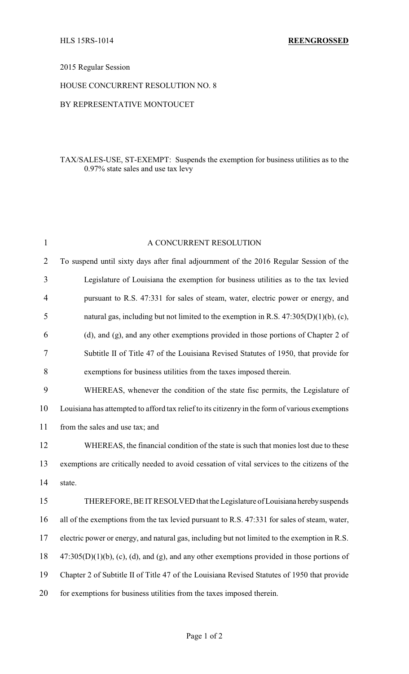## 2015 Regular Session

# HOUSE CONCURRENT RESOLUTION NO. 8

#### BY REPRESENTATIVE MONTOUCET

## TAX/SALES-USE, ST-EXEMPT: Suspends the exemption for business utilities as to the 0.97% state sales and use tax levy

| 1              | A CONCURRENT RESOLUTION                                                                         |  |  |
|----------------|-------------------------------------------------------------------------------------------------|--|--|
| $\overline{2}$ | To suspend until sixty days after final adjournment of the 2016 Regular Session of the          |  |  |
| 3              | Legislature of Louisiana the exemption for business utilities as to the tax levied              |  |  |
| $\overline{4}$ | pursuant to R.S. 47:331 for sales of steam, water, electric power or energy, and                |  |  |
| 5              | natural gas, including but not limited to the exemption in R.S. $47:305(D)(1)(b)$ , (c),        |  |  |
| 6              | (d), and (g), and any other exemptions provided in those portions of Chapter 2 of               |  |  |
| 7              | Subtitle II of Title 47 of the Louisiana Revised Statutes of 1950, that provide for             |  |  |
| 8              | exemptions for business utilities from the taxes imposed therein.                               |  |  |
| 9              | WHEREAS, whenever the condition of the state fisc permits, the Legislature of                   |  |  |
| 10             | Louisiana has attempted to afford tax relief to its citizenry in the form of various exemptions |  |  |
| 11             | from the sales and use tax; and                                                                 |  |  |
| 12             | WHEREAS, the financial condition of the state is such that monies lost due to these             |  |  |
| 13             | exemptions are critically needed to avoid cessation of vital services to the citizens of the    |  |  |
| 14             | state.                                                                                          |  |  |
| 15             | THEREFORE, BE IT RESOLVED that the Legislature of Louisiana hereby suspends                     |  |  |
| 16             | all of the exemptions from the tax levied pursuant to R.S. 47:331 for sales of steam, water,    |  |  |
| 17             | electric power or energy, and natural gas, including but not limited to the exemption in R.S.   |  |  |
| 18             | $47:305(D)(1)(b)$ , (c), (d), and (g), and any other exemptions provided in those portions of   |  |  |
| 19             | Chapter 2 of Subtitle II of Title 47 of the Louisiana Revised Statutes of 1950 that provide     |  |  |
| 20             | for exemptions for business utilities from the taxes imposed therein.                           |  |  |